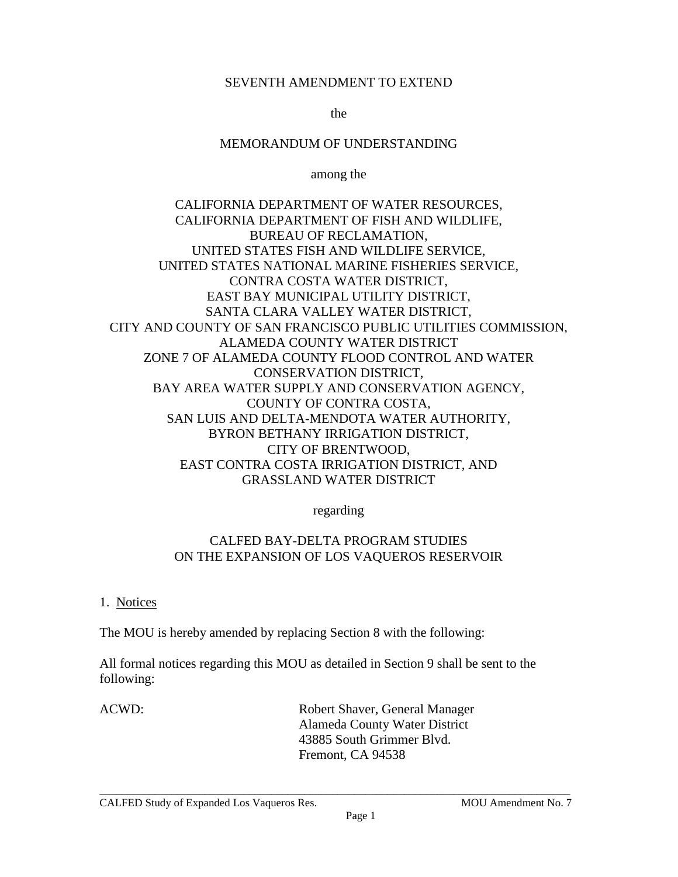# SEVENTH AMENDMENT TO EXTEND

the

# MEMORANDUM OF UNDERSTANDING

among the

CALIFORNIA DEPARTMENT OF WATER RESOURCES, CALIFORNIA DEPARTMENT OF FISH AND WILDLIFE, BUREAU OF RECLAMATION, UNITED STATES FISH AND WILDLIFE SERVICE, UNITED STATES NATIONAL MARINE FISHERIES SERVICE, CONTRA COSTA WATER DISTRICT, EAST BAY MUNICIPAL UTILITY DISTRICT, SANTA CLARA VALLEY WATER DISTRICT, CITY AND COUNTY OF SAN FRANCISCO PUBLIC UTILITIES COMMISSION, ALAMEDA COUNTY WATER DISTRICT ZONE 7 OF ALAMEDA COUNTY FLOOD CONTROL AND WATER CONSERVATION DISTRICT, BAY AREA WATER SUPPLY AND CONSERVATION AGENCY, COUNTY OF CONTRA COSTA, SAN LUIS AND DELTA-MENDOTA WATER AUTHORITY, BYRON BETHANY IRRIGATION DISTRICT, CITY OF BRENTWOOD, EAST CONTRA COSTA IRRIGATION DISTRICT, AND GRASSLAND WATER DISTRICT

regarding

# CALFED BAY-DELTA PROGRAM STUDIES ON THE EXPANSION OF LOS VAQUEROS RESERVOIR

1. Notices

The MOU is hereby amended by replacing Section 8 with the following:

All formal notices regarding this MOU as detailed in Section 9 shall be sent to the following:

ACWD: Robert Shaver, General Manager Alameda County Water District 43885 South Grimmer Blvd. Fremont, CA 94538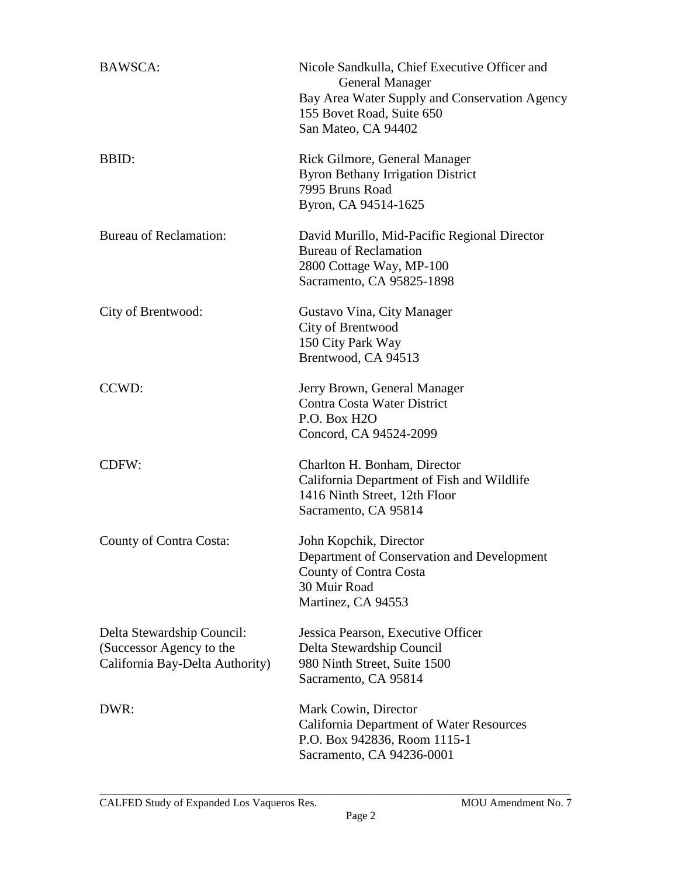| <b>BAWSCA:</b>                                                                            | Nicole Sandkulla, Chief Executive Officer and<br><b>General Manager</b><br>Bay Area Water Supply and Conservation Agency<br>155 Bovet Road, Suite 650<br>San Mateo, CA 94402 |
|-------------------------------------------------------------------------------------------|------------------------------------------------------------------------------------------------------------------------------------------------------------------------------|
| BBID:                                                                                     | Rick Gilmore, General Manager<br><b>Byron Bethany Irrigation District</b><br>7995 Bruns Road<br>Byron, CA 94514-1625                                                         |
| <b>Bureau of Reclamation:</b>                                                             | David Murillo, Mid-Pacific Regional Director<br><b>Bureau of Reclamation</b><br>2800 Cottage Way, MP-100<br>Sacramento, CA 95825-1898                                        |
| City of Brentwood:                                                                        | Gustavo Vina, City Manager<br>City of Brentwood<br>150 City Park Way<br>Brentwood, CA 94513                                                                                  |
| CCWD:                                                                                     | Jerry Brown, General Manager<br>Contra Costa Water District<br>P.O. Box H2O<br>Concord, CA 94524-2099                                                                        |
| CDFW:                                                                                     | Charlton H. Bonham, Director<br>California Department of Fish and Wildlife<br>1416 Ninth Street, 12th Floor<br>Sacramento, CA 95814                                          |
| County of Contra Costa:                                                                   | John Kopchik, Director<br>Department of Conservation and Development<br>County of Contra Costa<br>30 Muir Road<br>Martinez, CA 94553                                         |
| Delta Stewardship Council:<br>(Successor Agency to the<br>California Bay-Delta Authority) | Jessica Pearson, Executive Officer<br>Delta Stewardship Council<br>980 Ninth Street, Suite 1500<br>Sacramento, CA 95814                                                      |
| DWR:                                                                                      | Mark Cowin, Director<br>California Department of Water Resources<br>P.O. Box 942836, Room 1115-1<br>Sacramento, CA 94236-0001                                                |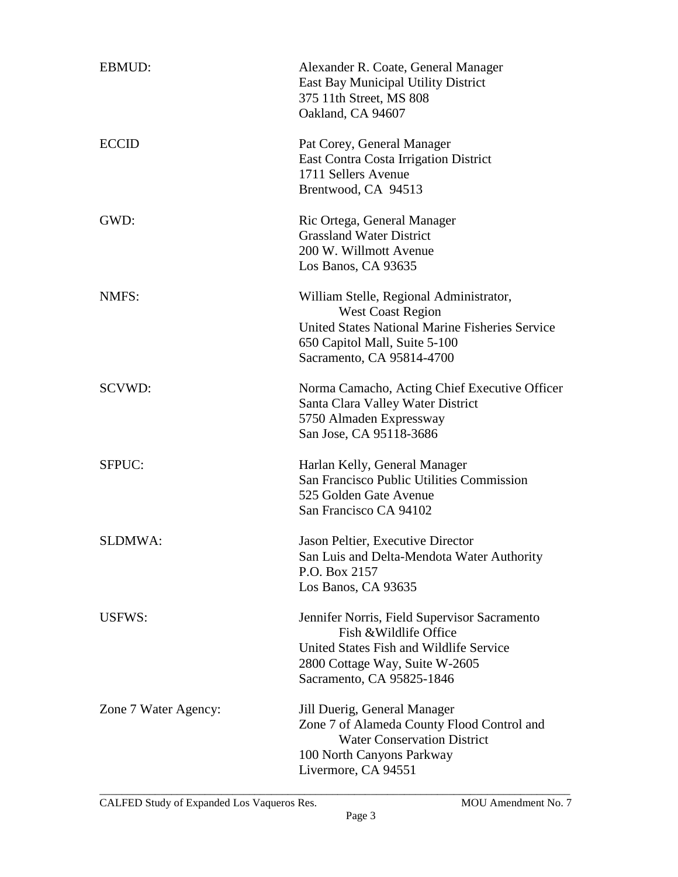| <b>EBMUD:</b>        | Alexander R. Coate, General Manager<br><b>East Bay Municipal Utility District</b><br>375 11th Street, MS 808<br>Oakland, CA 94607                                                    |
|----------------------|--------------------------------------------------------------------------------------------------------------------------------------------------------------------------------------|
| <b>ECCID</b>         | Pat Corey, General Manager<br>East Contra Costa Irrigation District<br>1711 Sellers Avenue<br>Brentwood, CA 94513                                                                    |
| GWD:                 | Ric Ortega, General Manager<br><b>Grassland Water District</b><br>200 W. Willmott Avenue<br>Los Banos, CA 93635                                                                      |
| NMFS:                | William Stelle, Regional Administrator,<br><b>West Coast Region</b><br>United States National Marine Fisheries Service<br>650 Capitol Mall, Suite 5-100<br>Sacramento, CA 95814-4700 |
| SCVWD:               | Norma Camacho, Acting Chief Executive Officer<br>Santa Clara Valley Water District<br>5750 Almaden Expressway<br>San Jose, CA 95118-3686                                             |
| SFPUC:               | Harlan Kelly, General Manager<br>San Francisco Public Utilities Commission<br>525 Golden Gate Avenue<br>San Francisco CA 94102                                                       |
| <b>SLDMWA:</b>       | Jason Peltier, Executive Director<br>San Luis and Delta-Mendota Water Authority<br>P.O. Box 2157<br>Los Banos, CA 93635                                                              |
| USFWS:               | Jennifer Norris, Field Supervisor Sacramento<br>Fish & Wildlife Office<br>United States Fish and Wildlife Service<br>2800 Cottage Way, Suite W-2605<br>Sacramento, CA 95825-1846     |
| Zone 7 Water Agency: | Jill Duerig, General Manager<br>Zone 7 of Alameda County Flood Control and<br><b>Water Conservation District</b><br>100 North Canyons Parkway<br>Livermore, CA 94551                 |